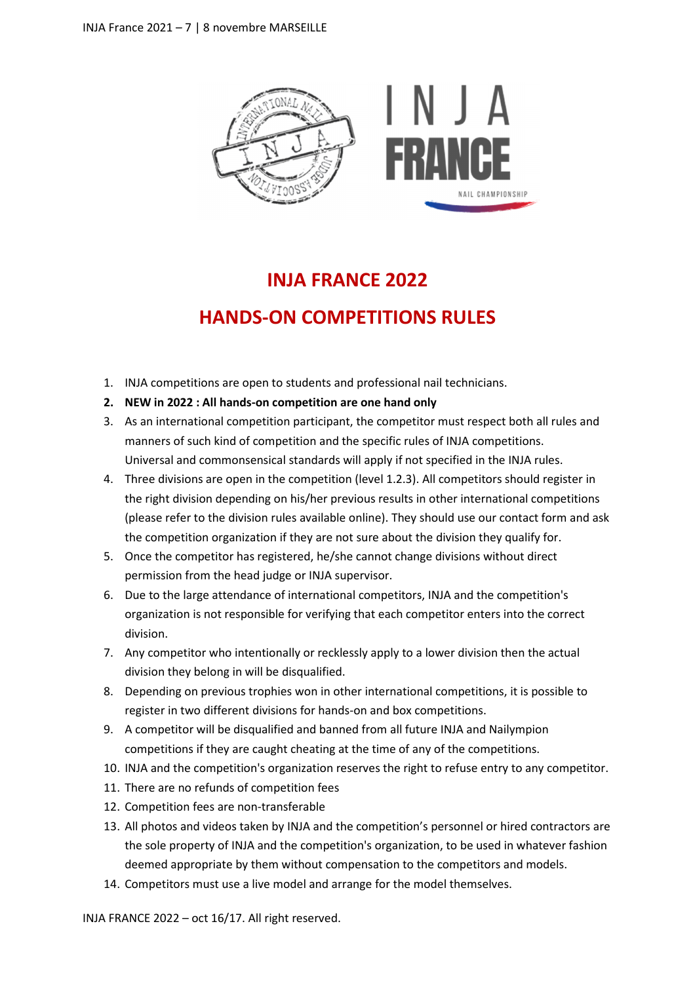

# **INJA FRANCE 2022**

## **HANDS-ON COMPETITIONS RULES**

- 1. INJA competitions are open to students and professional nail technicians.
- **2. NEW in 2022 : All hands-on competition are one hand only**
- 3. As an international competition participant, the competitor must respect both all rules and manners of such kind of competition and the specific rules of INJA competitions. Universal and commonsensical standards will apply if not specified in the INJA rules.
- 4. Three divisions are open in the competition (level 1.2.3). All competitors should register in the right division depending on his/her previous results in other international competitions (please refer to the division rules available online). They should use our contact form and ask the competition organization if they are not sure about the division they qualify for.
- 5. Once the competitor has registered, he/she cannot change divisions without direct permission from the head judge or INJA supervisor.
- 6. Due to the large attendance of international competitors, INJA and the competition's organization is not responsible for verifying that each competitor enters into the correct division.
- 7. Any competitor who intentionally or recklessly apply to a lower division then the actual division they belong in will be disqualified.
- 8. Depending on previous trophies won in other international competitions, it is possible to register in two different divisions for hands-on and box competitions.
- 9. A competitor will be disqualified and banned from all future INJA and Nailympion competitions if they are caught cheating at the time of any of the competitions.
- 10. INJA and the competition's organization reserves the right to refuse entry to any competitor.
- 11. There are no refunds of competition fees
- 12. Competition fees are non-transferable
- 13. All photos and videos taken by INJA and the competition's personnel or hired contractors are the sole property of INJA and the competition's organization, to be used in whatever fashion deemed appropriate by them without compensation to the competitors and models.
- 14. Competitors must use a live model and arrange for the model themselves.

INJA FRANCE 2022 – oct 16/17. All right reserved.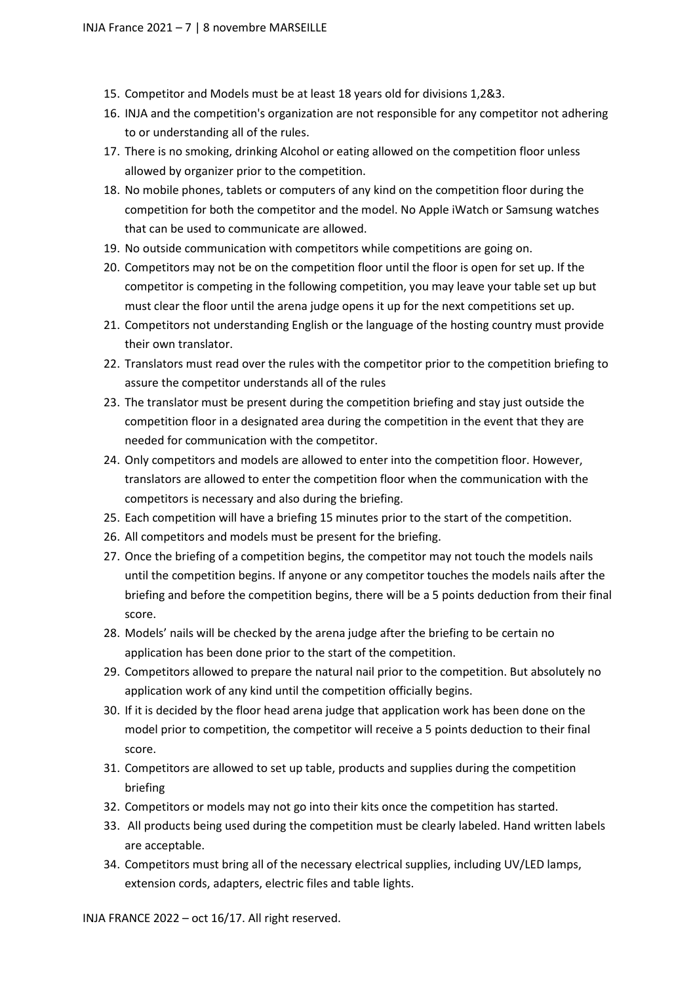- 15. Competitor and Models must be at least 18 years old for divisions 1,2&3.
- 16. INJA and the competition's organization are not responsible for any competitor not adhering to or understanding all of the rules.
- 17. There is no smoking, drinking Alcohol or eating allowed on the competition floor unless allowed by organizer prior to the competition.
- 18. No mobile phones, tablets or computers of any kind on the competition floor during the competition for both the competitor and the model. No Apple iWatch or Samsung watches that can be used to communicate are allowed.
- 19. No outside communication with competitors while competitions are going on.
- 20. Competitors may not be on the competition floor until the floor is open for set up. If the competitor is competing in the following competition, you may leave your table set up but must clear the floor until the arena judge opens it up for the next competitions set up.
- 21. Competitors not understanding English or the language of the hosting country must provide their own translator.
- 22. Translators must read over the rules with the competitor prior to the competition briefing to assure the competitor understands all of the rules
- 23. The translator must be present during the competition briefing and stay just outside the competition floor in a designated area during the competition in the event that they are needed for communication with the competitor.
- 24. Only competitors and models are allowed to enter into the competition floor. However, translators are allowed to enter the competition floor when the communication with the competitors is necessary and also during the briefing.
- 25. Each competition will have a briefing 15 minutes prior to the start of the competition.
- 26. All competitors and models must be present for the briefing.
- 27. Once the briefing of a competition begins, the competitor may not touch the models nails until the competition begins. If anyone or any competitor touches the models nails after the briefing and before the competition begins, there will be a 5 points deduction from their final score.
- 28. Models' nails will be checked by the arena judge after the briefing to be certain no application has been done prior to the start of the competition.
- 29. Competitors allowed to prepare the natural nail prior to the competition. But absolutely no application work of any kind until the competition officially begins.
- 30. If it is decided by the floor head arena judge that application work has been done on the model prior to competition, the competitor will receive a 5 points deduction to their final score.
- 31. Competitors are allowed to set up table, products and supplies during the competition briefing
- 32. Competitors or models may not go into their kits once the competition has started.
- 33. All products being used during the competition must be clearly labeled. Hand written labels are acceptable.
- 34. Competitors must bring all of the necessary electrical supplies, including UV/LED lamps, extension cords, adapters, electric files and table lights.

INJA FRANCE 2022 – oct 16/17. All right reserved.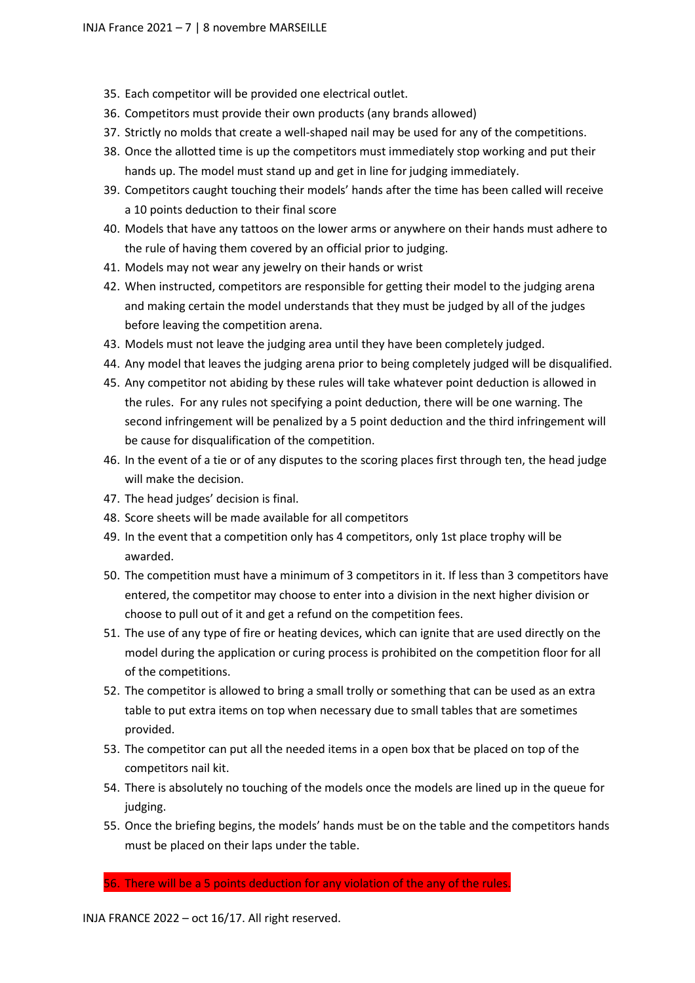- 35. Each competitor will be provided one electrical outlet.
- 36. Competitors must provide their own products (any brands allowed)
- 37. Strictly no molds that create a well-shaped nail may be used for any of the competitions.
- 38. Once the allotted time is up the competitors must immediately stop working and put their hands up. The model must stand up and get in line for judging immediately.
- 39. Competitors caught touching their models' hands after the time has been called will receive a 10 points deduction to their final score
- 40. Models that have any tattoos on the lower arms or anywhere on their hands must adhere to the rule of having them covered by an official prior to judging.
- 41. Models may not wear any jewelry on their hands or wrist
- 42. When instructed, competitors are responsible for getting their model to the judging arena and making certain the model understands that they must be judged by all of the judges before leaving the competition arena.
- 43. Models must not leave the judging area until they have been completely judged.
- 44. Any model that leaves the judging arena prior to being completely judged will be disqualified.
- 45. Any competitor not abiding by these rules will take whatever point deduction is allowed in the rules. For any rules not specifying a point deduction, there will be one warning. The second infringement will be penalized by a 5 point deduction and the third infringement will be cause for disqualification of the competition.
- 46. In the event of a tie or of any disputes to the scoring places first through ten, the head judge will make the decision.
- 47. The head judges' decision is final.
- 48. Score sheets will be made available for all competitors
- 49. In the event that a competition only has 4 competitors, only 1st place trophy will be awarded.
- 50. The competition must have a minimum of 3 competitors in it. If less than 3 competitors have entered, the competitor may choose to enter into a division in the next higher division or choose to pull out of it and get a refund on the competition fees.
- 51. The use of any type of fire or heating devices, which can ignite that are used directly on the model during the application or curing process is prohibited on the competition floor for all of the competitions.
- 52. The competitor is allowed to bring a small trolly or something that can be used as an extra table to put extra items on top when necessary due to small tables that are sometimes provided.
- 53. The competitor can put all the needed items in a open box that be placed on top of the competitors nail kit.
- 54. There is absolutely no touching of the models once the models are lined up in the queue for judging.
- 55. Once the briefing begins, the models' hands must be on the table and the competitors hands must be placed on their laps under the table.

56. There will be a 5 points deduction for any violation of the any of the rules.

INJA FRANCE 2022 – oct 16/17. All right reserved.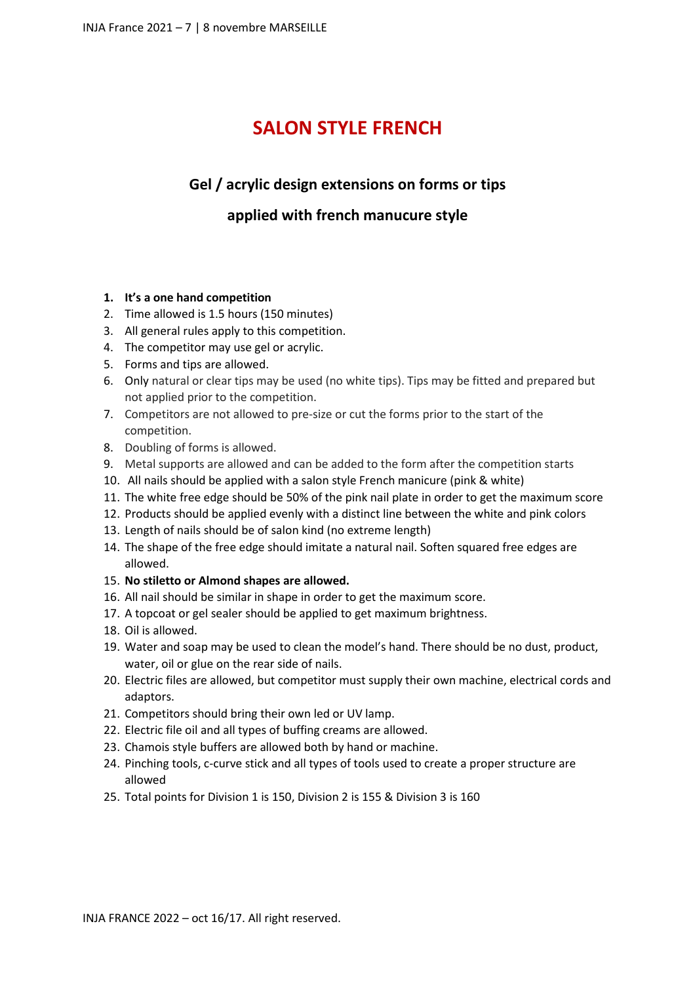### **SALON STYLE FRENCH**

#### **Gel / acrylic design extensions on forms or tips**

#### **applied with french manucure style**

#### **1. It's a one hand competition**

- 2. Time allowed is 1.5 hours (150 minutes)
- 3. All general rules apply to this competition.
- 4. The competitor may use gel or acrylic.
- 5. Forms and tips are allowed.
- 6. Only natural or clear tips may be used (no white tips). Tips may be fitted and prepared but not applied prior to the competition.
- 7. Competitors are not allowed to pre-size or cut the forms prior to the start of the competition.
- 8. Doubling of forms is allowed.
- 9. Metal supports are allowed and can be added to the form after the competition starts
- 10. All nails should be applied with a salon style French manicure (pink & white)
- 11. The white free edge should be 50% of the pink nail plate in order to get the maximum score
- 12. Products should be applied evenly with a distinct line between the white and pink colors
- 13. Length of nails should be of salon kind (no extreme length)
- 14. The shape of the free edge should imitate a natural nail. Soften squared free edges are allowed.
- 15. **No stiletto or Almond shapes are allowed.**
- 16. All nail should be similar in shape in order to get the maximum score.
- 17. A topcoat or gel sealer should be applied to get maximum brightness.
- 18. Oil is allowed.
- 19. Water and soap may be used to clean the model's hand. There should be no dust, product, water, oil or glue on the rear side of nails.
- 20. Electric files are allowed, but competitor must supply their own machine, electrical cords and adaptors.
- 21. Competitors should bring their own led or UV lamp.
- 22. Electric file oil and all types of buffing creams are allowed.
- 23. Chamois style buffers are allowed both by hand or machine.
- 24. Pinching tools, c-curve stick and all types of tools used to create a proper structure are allowed
- 25. Total points for Division 1 is 150, Division 2 is 155 & Division 3 is 160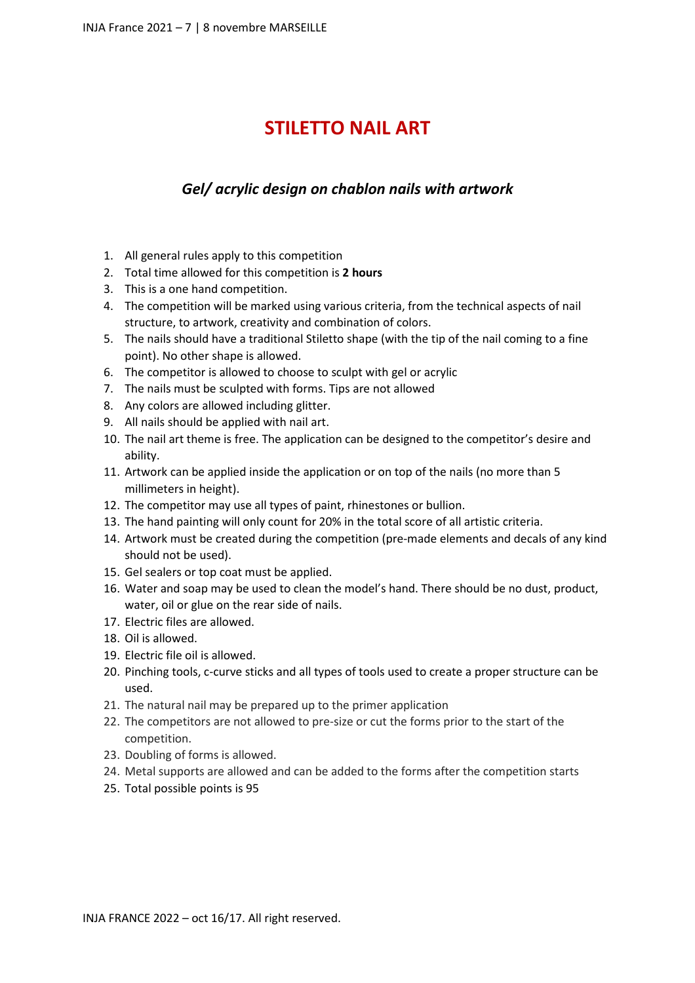## **STILETTO NAIL ART**

#### *Gel/ acrylic design on chablon nails with artwork*

- 1. All general rules apply to this competition
- 2. Total time allowed for this competition is **2 hours**
- 3. This is a one hand competition.
- 4. The competition will be marked using various criteria, from the technical aspects of nail structure, to artwork, creativity and combination of colors.
- 5. The nails should have a traditional Stiletto shape (with the tip of the nail coming to a fine point). No other shape is allowed.
- 6. The competitor is allowed to choose to sculpt with gel or acrylic
- 7. The nails must be sculpted with forms. Tips are not allowed
- 8. Any colors are allowed including glitter.
- 9. All nails should be applied with nail art.
- 10. The nail art theme is free. The application can be designed to the competitor's desire and ability.
- 11. Artwork can be applied inside the application or on top of the nails (no more than 5 millimeters in height).
- 12. The competitor may use all types of paint, rhinestones or bullion.
- 13. The hand painting will only count for 20% in the total score of all artistic criteria.
- 14. Artwork must be created during the competition (pre-made elements and decals of any kind should not be used).
- 15. Gel sealers or top coat must be applied.
- 16. Water and soap may be used to clean the model's hand. There should be no dust, product, water, oil or glue on the rear side of nails.
- 17. Electric files are allowed.
- 18. Oil is allowed.
- 19. Electric file oil is allowed.
- 20. Pinching tools, c-curve sticks and all types of tools used to create a proper structure can be used.
- 21. The natural nail may be prepared up to the primer application
- 22. The competitors are not allowed to pre-size or cut the forms prior to the start of the competition.
- 23. Doubling of forms is allowed.
- 24. Metal supports are allowed and can be added to the forms after the competition starts
- 25. Total possible points is 95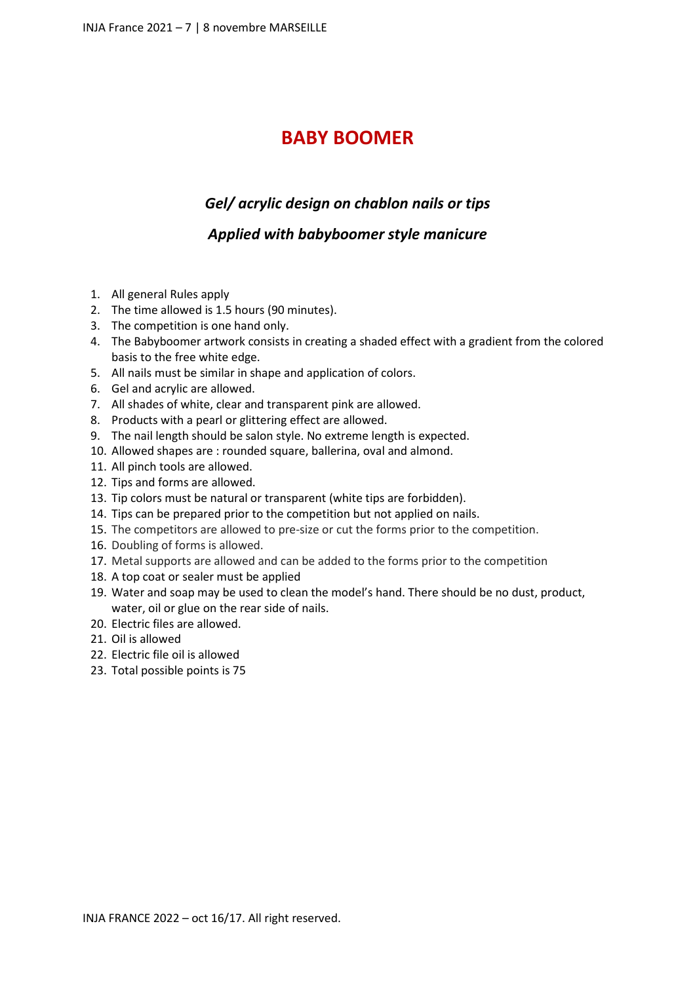#### **BABY BOOMER**

#### *Gel/ acrylic design on chablon nails or tips*

#### *Applied with babyboomer style manicure*

- 1. All general Rules apply
- 2. The time allowed is 1.5 hours (90 minutes).
- 3. The competition is one hand only.
- 4. The Babyboomer artwork consists in creating a shaded effect with a gradient from the colored basis to the free white edge.
- 5. All nails must be similar in shape and application of colors.
- 6. Gel and acrylic are allowed.
- 7. All shades of white, clear and transparent pink are allowed.
- 8. Products with a pearl or glittering effect are allowed.
- 9. The nail length should be salon style. No extreme length is expected.
- 10. Allowed shapes are : rounded square, ballerina, oval and almond.
- 11. All pinch tools are allowed.
- 12. Tips and forms are allowed.
- 13. Tip colors must be natural or transparent (white tips are forbidden).
- 14. Tips can be prepared prior to the competition but not applied on nails.
- 15. The competitors are allowed to pre-size or cut the forms prior to the competition.
- 16. Doubling of forms is allowed.
- 17. Metal supports are allowed and can be added to the forms prior to the competition
- 18. A top coat or sealer must be applied
- 19. Water and soap may be used to clean the model's hand. There should be no dust, product, water, oil or glue on the rear side of nails.
- 20. Electric files are allowed.
- 21. Oil is allowed
- 22. Electric file oil is allowed
- 23. Total possible points is 75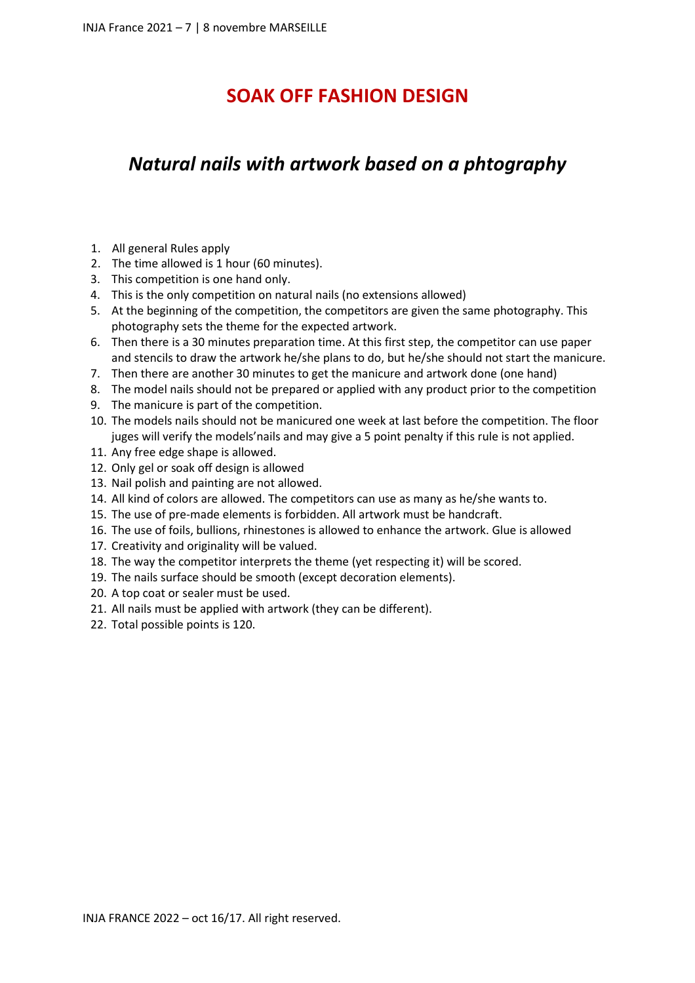#### **SOAK OFF FASHION DESIGN**

## *Natural nails with artwork based on a phtography*

- 1. All general Rules apply
- 2. The time allowed is 1 hour (60 minutes).
- 3. This competition is one hand only.
- 4. This is the only competition on natural nails (no extensions allowed)
- 5. At the beginning of the competition, the competitors are given the same photography. This photography sets the theme for the expected artwork.
- 6. Then there is a 30 minutes preparation time. At this first step, the competitor can use paper and stencils to draw the artwork he/she plans to do, but he/she should not start the manicure.
- 7. Then there are another 30 minutes to get the manicure and artwork done (one hand)
- 8. The model nails should not be prepared or applied with any product prior to the competition
- 9. The manicure is part of the competition.
- 10. The models nails should not be manicured one week at last before the competition. The floor juges will verify the models'nails and may give a 5 point penalty if this rule is not applied.
- 11. Any free edge shape is allowed.
- 12. Only gel or soak off design is allowed
- 13. Nail polish and painting are not allowed.
- 14. All kind of colors are allowed. The competitors can use as many as he/she wants to.
- 15. The use of pre-made elements is forbidden. All artwork must be handcraft.
- 16. The use of foils, bullions, rhinestones is allowed to enhance the artwork. Glue is allowed
- 17. Creativity and originality will be valued.
- 18. The way the competitor interprets the theme (yet respecting it) will be scored.
- 19. The nails surface should be smooth (except decoration elements).
- 20. A top coat or sealer must be used.
- 21. All nails must be applied with artwork (they can be different).
- 22. Total possible points is 120.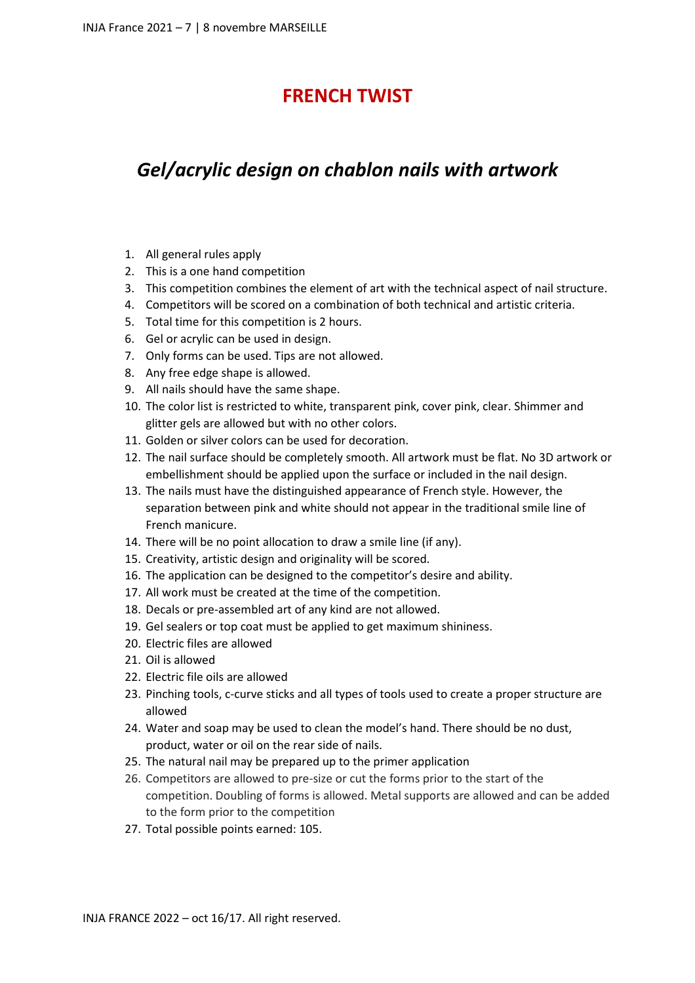## **FRENCH TWIST**

# *Gel/acrylic design on chablon nails with artwork*

- 1. All general rules apply
- 2. This is a one hand competition
- 3. This competition combines the element of art with the technical aspect of nail structure.
- 4. Competitors will be scored on a combination of both technical and artistic criteria.
- 5. Total time for this competition is 2 hours.
- 6. Gel or acrylic can be used in design.
- 7. Only forms can be used. Tips are not allowed.
- 8. Any free edge shape is allowed.
- 9. All nails should have the same shape.
- 10. The color list is restricted to white, transparent pink, cover pink, clear. Shimmer and glitter gels are allowed but with no other colors.
- 11. Golden or silver colors can be used for decoration.
- 12. The nail surface should be completely smooth. All artwork must be flat. No 3D artwork or embellishment should be applied upon the surface or included in the nail design.
- 13. The nails must have the distinguished appearance of French style. However, the separation between pink and white should not appear in the traditional smile line of French manicure.
- 14. There will be no point allocation to draw a smile line (if any).
- 15. Creativity, artistic design and originality will be scored.
- 16. The application can be designed to the competitor's desire and ability.
- 17. All work must be created at the time of the competition.
- 18. Decals or pre-assembled art of any kind are not allowed.
- 19. Gel sealers or top coat must be applied to get maximum shininess.
- 20. Electric files are allowed
- 21. Oil is allowed
- 22. Electric file oils are allowed
- 23. Pinching tools, c-curve sticks and all types of tools used to create a proper structure are allowed
- 24. Water and soap may be used to clean the model's hand. There should be no dust, product, water or oil on the rear side of nails.
- 25. The natural nail may be prepared up to the primer application
- 26. Competitors are allowed to pre-size or cut the forms prior to the start of the competition. Doubling of forms is allowed. Metal supports are allowed and can be added to the form prior to the competition
- 27. Total possible points earned: 105.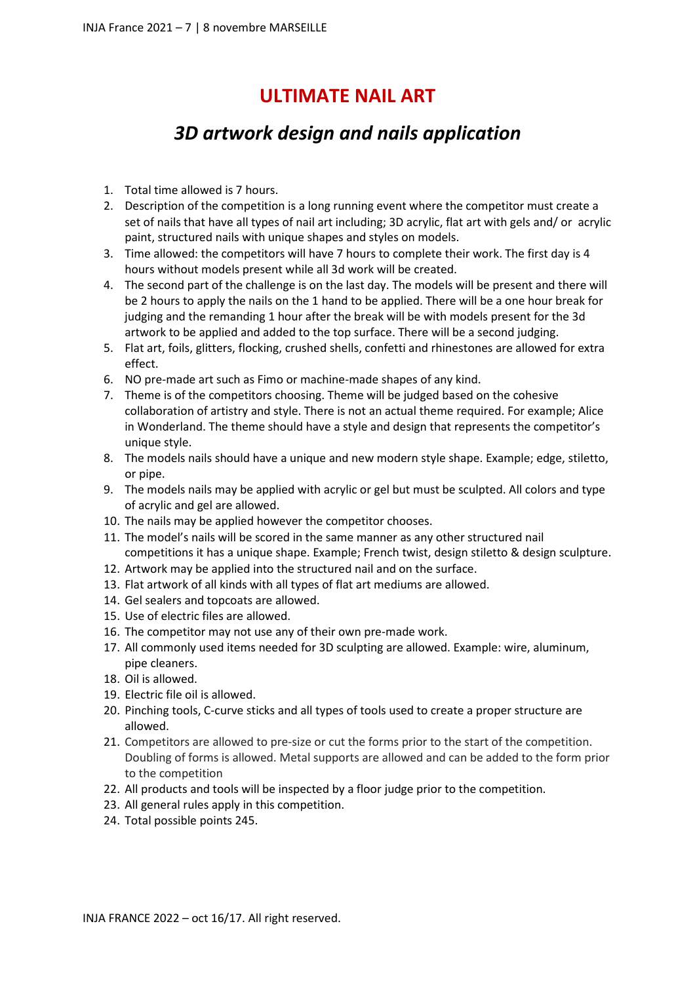#### **ULTIMATE NAIL ART**

# *3D artwork design and nails application*

- 1. Total time allowed is 7 hours.
- 2. Description of the competition is a long running event where the competitor must create a set of nails that have all types of nail art including; 3D acrylic, flat art with gels and/ or acrylic paint, structured nails with unique shapes and styles on models.
- 3. Time allowed: the competitors will have 7 hours to complete their work. The first day is 4 hours without models present while all 3d work will be created.
- 4. The second part of the challenge is on the last day. The models will be present and there will be 2 hours to apply the nails on the 1 hand to be applied. There will be a one hour break for judging and the remanding 1 hour after the break will be with models present for the 3d artwork to be applied and added to the top surface. There will be a second judging.
- 5. Flat art, foils, glitters, flocking, crushed shells, confetti and rhinestones are allowed for extra effect.
- 6. NO pre-made art such as Fimo or machine-made shapes of any kind.
- 7. Theme is of the competitors choosing. Theme will be judged based on the cohesive collaboration of artistry and style. There is not an actual theme required. For example; Alice in Wonderland. The theme should have a style and design that represents the competitor's unique style.
- 8. The models nails should have a unique and new modern style shape. Example; edge, stiletto, or pipe.
- 9. The models nails may be applied with acrylic or gel but must be sculpted. All colors and type of acrylic and gel are allowed.
- 10. The nails may be applied however the competitor chooses.
- 11. The model's nails will be scored in the same manner as any other structured nail competitions it has a unique shape. Example; French twist, design stiletto & design sculpture.
- 12. Artwork may be applied into the structured nail and on the surface.
- 13. Flat artwork of all kinds with all types of flat art mediums are allowed.
- 14. Gel sealers and topcoats are allowed.
- 15. Use of electric files are allowed.
- 16. The competitor may not use any of their own pre-made work.
- 17. All commonly used items needed for 3D sculpting are allowed. Example: wire, aluminum, pipe cleaners.
- 18. Oil is allowed.
- 19. Electric file oil is allowed.
- 20. Pinching tools, C-curve sticks and all types of tools used to create a proper structure are allowed.
- 21. Competitors are allowed to pre-size or cut the forms prior to the start of the competition. Doubling of forms is allowed. Metal supports are allowed and can be added to the form prior to the competition
- 22. All products and tools will be inspected by a floor judge prior to the competition.
- 23. All general rules apply in this competition.
- 24. Total possible points 245.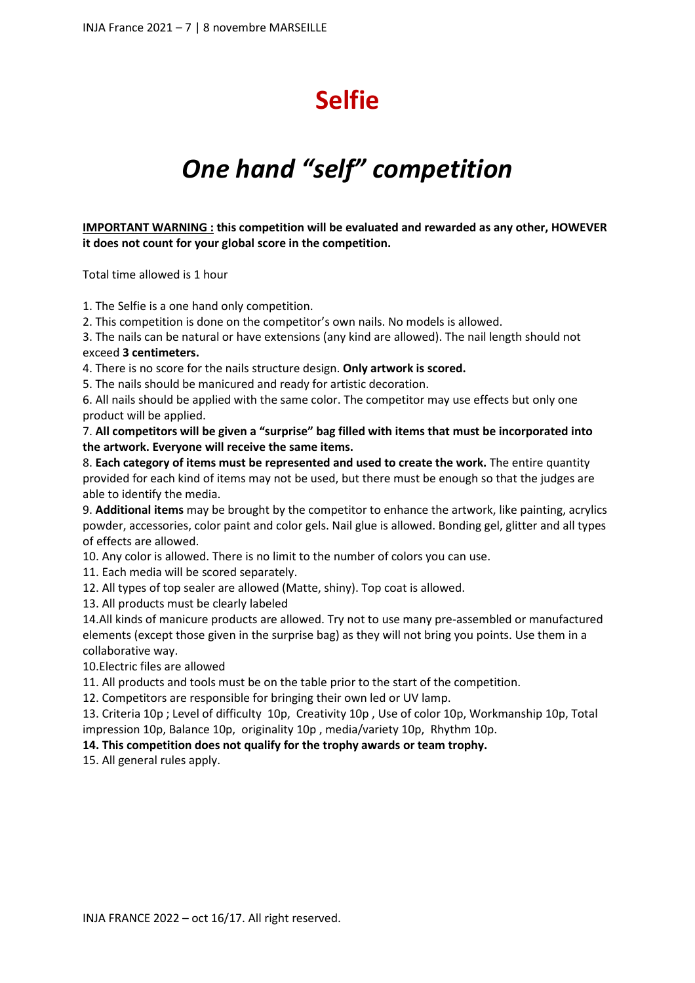# **Selfie**

# *One hand "self" competition*

**IMPORTANT WARNING : this competition will be evaluated and rewarded as any other, HOWEVER it does not count for your global score in the competition.** 

Total time allowed is 1 hour

1. The Selfie is a one hand only competition.

2. This competition is done on the competitor's own nails. No models is allowed.

3. The nails can be natural or have extensions (any kind are allowed). The nail length should not exceed **3 centimeters.**

4. There is no score for the nails structure design. **Only artwork is scored.** 

5. The nails should be manicured and ready for artistic decoration.

6. All nails should be applied with the same color. The competitor may use effects but only one product will be applied.

7. **All competitors will be given a "surprise" bag filled with items that must be incorporated into the artwork. Everyone will receive the same items.**

8. **Each category of items must be represented and used to create the work.** The entire quantity provided for each kind of items may not be used, but there must be enough so that the judges are able to identify the media.

9. **Additional items** may be brought by the competitor to enhance the artwork, like painting, acrylics powder, accessories, color paint and color gels. Nail glue is allowed. Bonding gel, glitter and all types of effects are allowed.

10. Any color is allowed. There is no limit to the number of colors you can use.

11. Each media will be scored separately.

12. All types of top sealer are allowed (Matte, shiny). Top coat is allowed.

13. All products must be clearly labeled

14.All kinds of manicure products are allowed. Try not to use many pre-assembled or manufactured elements (except those given in the surprise bag) as they will not bring you points. Use them in a collaborative way.

10.Electric files are allowed

11. All products and tools must be on the table prior to the start of the competition.

12. Competitors are responsible for bringing their own led or UV lamp.

13. Criteria 10p ; Level of difficulty 10p, Creativity 10p , Use of color 10p, Workmanship 10p, Total impression 10p, Balance 10p, originality 10p , media/variety 10p, Rhythm 10p.

#### **14. This competition does not qualify for the trophy awards or team trophy.**

15. All general rules apply.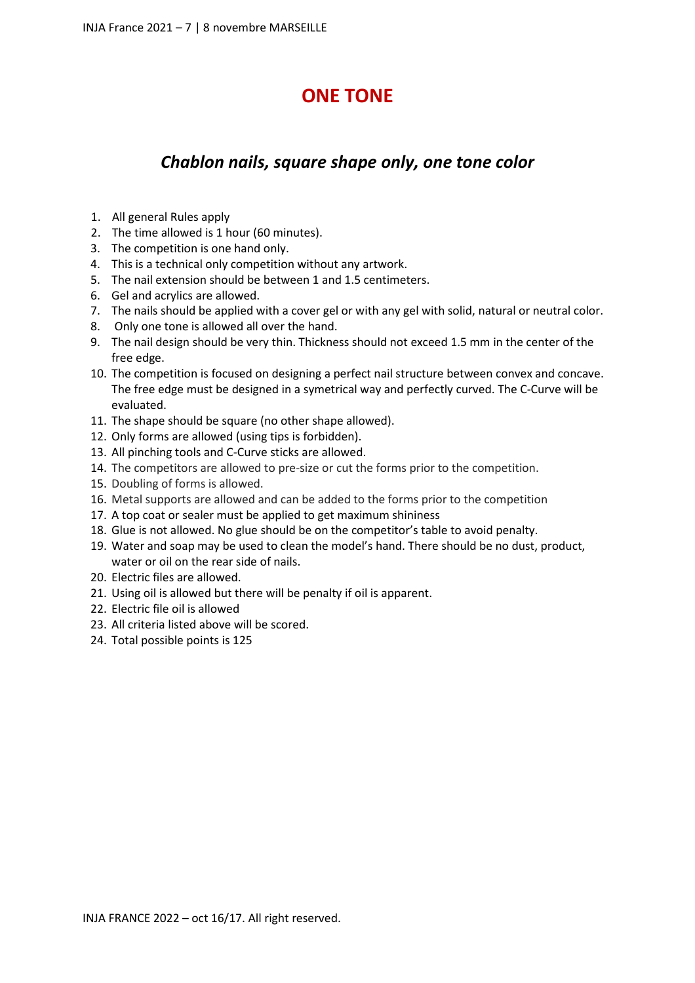## **ONE TONE**

#### *Chablon nails, square shape only, one tone color*

- 1. All general Rules apply
- 2. The time allowed is 1 hour (60 minutes).
- 3. The competition is one hand only.
- 4. This is a technical only competition without any artwork.
- 5. The nail extension should be between 1 and 1.5 centimeters.
- 6. Gel and acrylics are allowed.
- 7. The nails should be applied with a cover gel or with any gel with solid, natural or neutral color.
- 8. Only one tone is allowed all over the hand.
- 9. The nail design should be very thin. Thickness should not exceed 1.5 mm in the center of the free edge.
- 10. The competition is focused on designing a perfect nail structure between convex and concave. The free edge must be designed in a symetrical way and perfectly curved. The C-Curve will be evaluated.
- 11. The shape should be square (no other shape allowed).
- 12. Only forms are allowed (using tips is forbidden).
- 13. All pinching tools and C-Curve sticks are allowed.
- 14. The competitors are allowed to pre-size or cut the forms prior to the competition.
- 15. Doubling of forms is allowed.
- 16. Metal supports are allowed and can be added to the forms prior to the competition
- 17. A top coat or sealer must be applied to get maximum shininess
- 18. Glue is not allowed. No glue should be on the competitor's table to avoid penalty.
- 19. Water and soap may be used to clean the model's hand. There should be no dust, product, water or oil on the rear side of nails.
- 20. Electric files are allowed.
- 21. Using oil is allowed but there will be penalty if oil is apparent.
- 22. Electric file oil is allowed
- 23. All criteria listed above will be scored.
- 24. Total possible points is 125